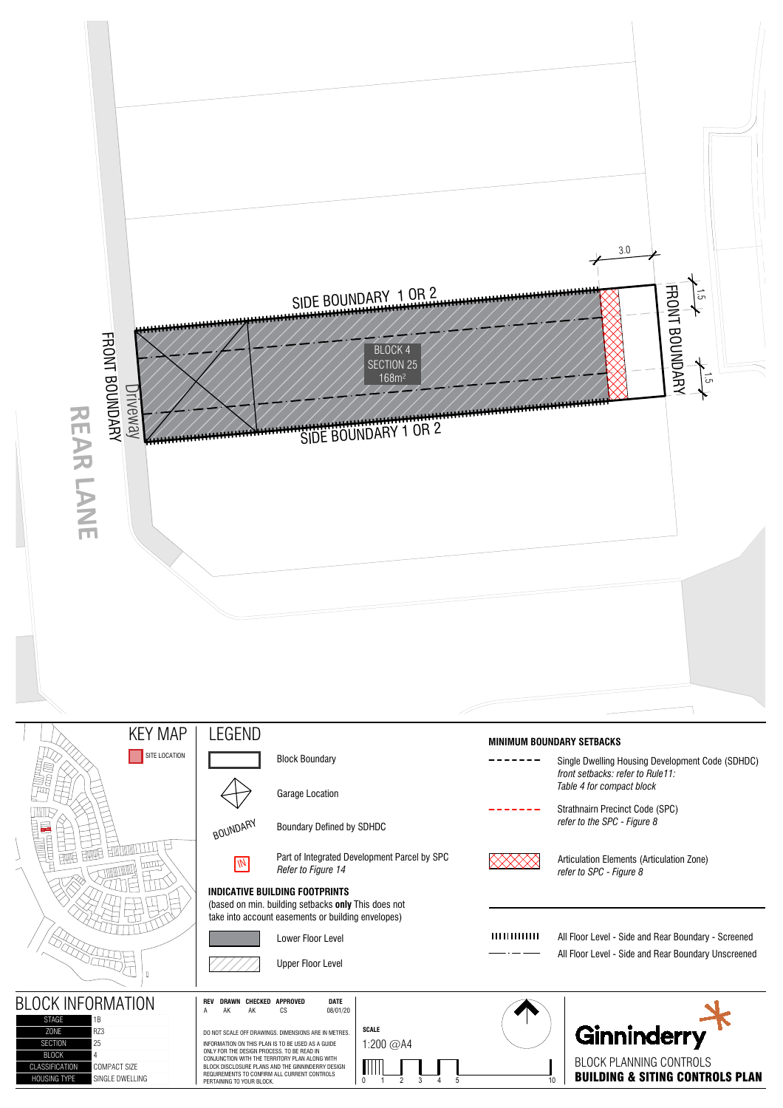